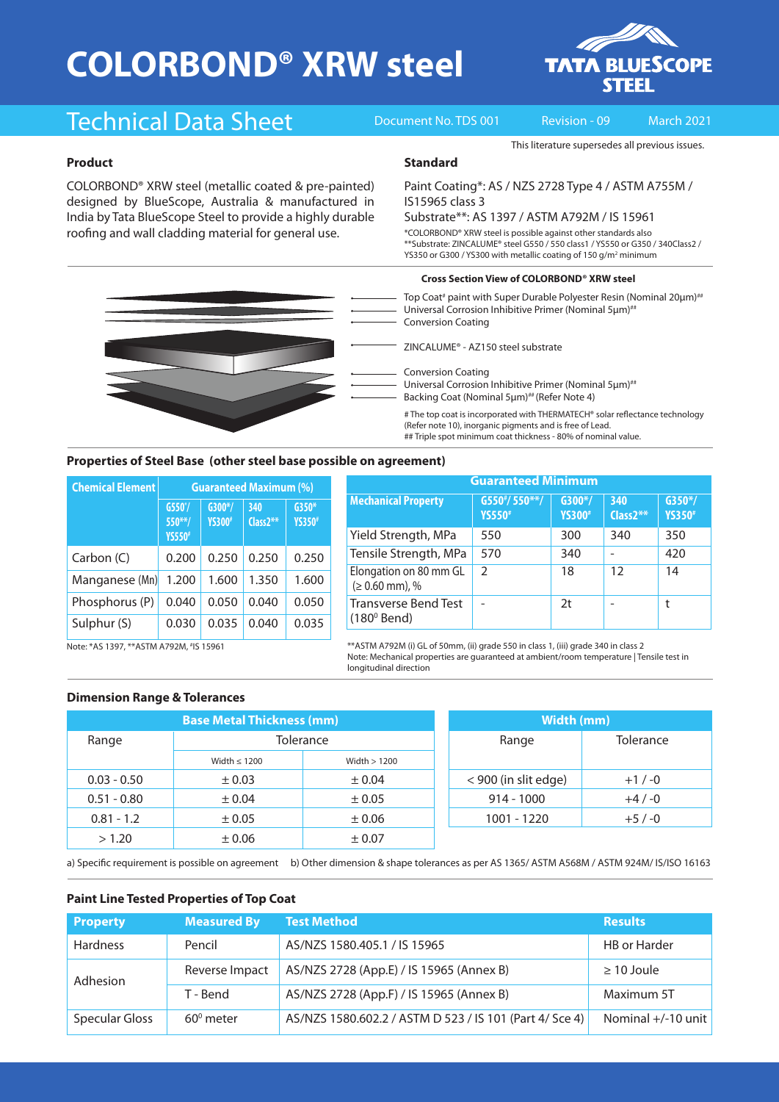# **COLORBOND® XRW steel**



## Technical Data Sheet Document No. TDS 001 Revision - 09 March 2021

This literature supersedes all previous issues.

#### **Product**

COLORBOND® XRW steel (metallic coated & pre-painted) designed by BlueScope, Australia & manufactured in India by Tata BlueScope Steel to provide a highly durable roofing and wall cladding material for general use.

#### **Standard**

Paint Coating\*: AS / NZS 2728 Type 4 / ASTM A755M / IS15965 class 3

### Substrate\*\*: AS 1397 / ASTM A792M / IS 15961

\*COLORBOND® XRW steel is possible against other standards also \*\*Substrate: ZINCALUME® steel G550 / 550 class1 / YS550 or G350 / 340Class2 / YS350 or G300 / YS300 with metallic coating of 150 g/m<sup>2</sup> minimum

#### **Cross Section View of COLORBOND® XRW steel**

Top Coat<sup>#</sup> paint with Super Durable Polyester Resin (Nominal 20μm)<sup>##</sup> Universal Corrosion Inhibitive Primer (Nominal 5μm)## Conversion Coating

ZINCALUME® - AZ150 steel substrate

Conversion Coating

Universal Corrosion Inhibitive Primer (Nominal 5μm)<sup>##</sup> Backing Coat (Nominal 5um)<sup>##</sup> (Refer Note 4)

# The top coat is incorporated with THERMATECH® solar reflectance technology (Refer note 10), inorganic pigments and is free of Lead. ## Triple spot minimum coat thickness - 80% of nominal value.

#### **Properties of Steel Base (other steel base possible on agreement)**

| <b>Chemical Element</b> | <b>Guaranteed Maximum (%)</b>           |                            |                    |                           |  |
|-------------------------|-----------------------------------------|----------------------------|--------------------|---------------------------|--|
|                         | $G550^*/$<br>$550**/$<br><b>YS550</b> # | $G300*/$<br><b>YS300</b> # | 340<br>$Class2***$ | $G350*$<br><b>YS350</b> # |  |
| Carbon (C)              | 0.200                                   | 0.250                      | 0.250              | 0.250                     |  |
| Manganese (Mn)          | 1.200                                   | 1.600                      | 1.350              | 1.600                     |  |
| Phosphorus (P)          | 0.040                                   | 0.050                      | 0.040              | 0.050                     |  |
| Sulphur (S)             | 0.030                                   | 0.035                      | 0.040              | 0.035                     |  |

| <b>Guaranteed Minimum</b>                           |                                  |                            |                    |                            |  |  |
|-----------------------------------------------------|----------------------------------|----------------------------|--------------------|----------------------------|--|--|
| <b>Mechanical Property</b>                          | $G550*/550**/$<br><b>YS550</b> # | $G300*/$<br><b>YS300</b> # | 340<br>$Class2***$ | $G350*/$<br><b>YS350</b> # |  |  |
| Yield Strength, MPa                                 | 550                              | 300                        | 340                | 350                        |  |  |
| Tensile Strength, MPa                               | 570                              | 340                        |                    | 420                        |  |  |
| Elongation on 80 mm GL<br>$(≥ 0.60$ mm), %          | $\mathcal{P}$                    | 18                         | 12                 | 14                         |  |  |
| <b>Transverse Bend Test</b><br>$(180^{\circ}$ Bend) |                                  | 2t                         |                    | t                          |  |  |

Note: \*AS 1397, \*\*ASTM A792M, # IS 15961

\*\*ASTM A792M (i) GL of 50mm, (ii) grade 550 in class 1, (iii) grade 340 in class 2 Note: Mechanical properties are guaranteed at ambient/room temperature | Tensile test in longitudinal direction

#### **Dimension Range & Tolerances**

| <b>Base Metal Thickness (mm)</b> |                   |               | Width (mm)           |           |  |
|----------------------------------|-------------------|---------------|----------------------|-----------|--|
| Range                            | <b>Tolerance</b>  |               | Range                | Tolerance |  |
|                                  | Width $\leq 1200$ | Width $>1200$ |                      |           |  |
| $0.03 - 0.50$                    | $\pm 0.03$        | $\pm 0.04$    | < 900 (in slit edge) | $+1/ -0$  |  |
| $0.51 - 0.80$                    | ± 0.04            | $\pm 0.05$    | $914 - 1000$         | $+4/ -0$  |  |
| $0.81 - 1.2$                     | $\pm 0.05$        | $\pm 0.06$    | 1001 - 1220          | $+5/ -0$  |  |
| > 1.20                           | $\pm 0.06$        | ± 0.07        |                      |           |  |

| Width (mm)           |           |  |  |  |
|----------------------|-----------|--|--|--|
| Range                | Tolerance |  |  |  |
| < 900 (in slit edge) | $+1/ -0$  |  |  |  |
| $914 - 1000$         | $+4/ -0$  |  |  |  |
| 1001 - 1220          | $+5/ -0$  |  |  |  |

a) Specific requirement is possible on agreement b) Other dimension & shape tolerances as per AS 1365/ ASTM A568M / ASTM 924M/ IS/ISO 16163

#### **Paint Line Tested Properties of Top Coat**

| <b>Property</b>       | <b>Measured By</b> | <b>Test Method</b>                                      | <b>Results</b>       |  |
|-----------------------|--------------------|---------------------------------------------------------|----------------------|--|
| <b>Hardness</b>       | Pencil             | AS/NZS 1580.405.1 / IS 15965                            | <b>HB</b> or Harder  |  |
| Adhesion              | Reverse Impact     | AS/NZS 2728 (App.E) / IS 15965 (Annex B)                | $\geq$ 10 Joule      |  |
|                       | T - Bend           | AS/NZS 2728 (App.F) / IS 15965 (Annex B)                | Maximum 5T           |  |
| <b>Specular Gloss</b> | $60^{\circ}$ meter | AS/NZS 1580.602.2 / ASTM D 523 / IS 101 (Part 4/ Sce 4) | Nominal $+/-10$ unit |  |